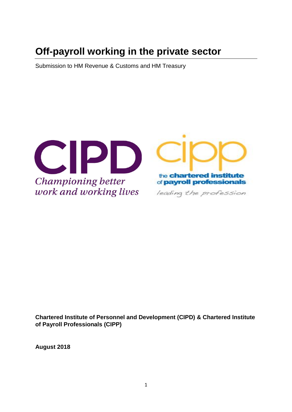# **Off-payroll working in the private sector**

Submission to HM Revenue & Customs and HM Treasury



**Chartered Institute of Personnel and Development (CIPD) & Chartered Institute of Payroll Professionals (CIPP)**

**August 2018**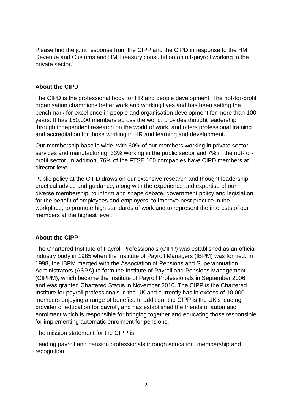Please find the joint response from the CIPP and the CIPD in response to the HM Revenue and Customs and HM Treasury consultation on off-payroll working in the private sector.

# **About the CIPD**

The CIPD is the professional body for HR and people development. The not-for-profit organisation champions better work and working lives and has been setting the benchmark for excellence in people and organisation development for more than 100 years. It has 150,000 members across the world, provides thought leadership through independent research on the world of work, and offers professional training and accreditation for those working in HR and learning and development.

Our membership base is wide, with 60% of our members working in private sector services and manufacturing, 33% working in the public sector and 7% in the not-forprofit sector. In addition, 76% of the FTSE 100 companies have CIPD members at director level.

Public policy at the CIPD draws on our extensive research and thought leadership, practical advice and guidance, along with the experience and expertise of our diverse membership, to inform and shape debate, government policy and legislation for the benefit of employees and employers, to improve best practice in the workplace, to promote high standards of work and to represent the interests of our members at the highest level.

# **About the CIPP**

The Chartered Institute of Payroll Professionals (CIPP) was established as an official industry body in 1985 when the Institute of Payroll Managers (IBPM) was formed. In 1998, the IBPM merged with the Association of Pensions and Superannuation Administrators (ASPA) to form the Institute of Payroll and Pensions Management (CIPPM), which became the Institute of Payroll Professionals in September 2006 and was granted Chartered Status in November 2010. The CIPP is the Chartered Institute for payroll professionals in the UK and currently has in excess of 10,000 members enjoying a range of benefits. In addition, the CIPP is the UK's leading provider of education for payroll, and has established the friends of automatic enrolment which is responsible for bringing together and educating those responsible for implementing automatic enrolment for pensions.

The mission statement for the CIPP is:

Leading payroll and pension professionals through education, membership and recognition.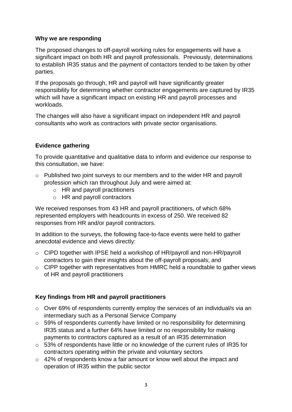## **Why we are responding**

The proposed changes to off-payroll working rules for engagements will have a significant impact on both HR and payroll professionals. Previously, determinations to establish IR35 status and the payment of contactors tended to be taken by other parties.

If the proposals go through, HR and payroll will have significantly greater responsibility for determining whether contractor engagements are captured by IR35 which will have a significant impact on existing HR and payroll processes and workloads.

The changes will also have a significant impact on independent HR and payroll consultants who work as contractors with private sector organisations.

# **Evidence gathering**

To provide quantitative and qualitative data to inform and evidence our response to this consultation, we have:

- o Published two joint surveys to our members and to the wider HR and payroll profession which ran throughout July and were aimed at:
	- o HR and payroll practitioners
	- o HR and payroll contractors

We received responses from 43 HR and payroll practitioners, of which 68% represented employers with headcounts in excess of 250. We received 82 responses from HR and/or payroll contractors.

In addition to the surveys, the following face-to-face events were held to gather anecdotal evidence and views directly:

- o CIPD together with IPSE held a workshop of HR/payroll and non-HR/payroll contractors to gain their insights about the off-payroll proposals; and
- o CIPP together with representatives from HMRC held a roundtable to gather views of HR and payroll practitioners

# **Key findings from HR and payroll practitioners**

- o Over 69% of respondents currently employ the services of an individual/s via an intermediary such as a Personal Service Company
- o 59% of respondents currently have limited or no responsibility for determining IR35 status and a further 64% have limited or no responsibility for making payments to contractors captured as a result of an IR35 determination
- o 53% of respondents have little or no knowledge of the current rules of IR35 for contractors operating within the private and voluntary sectors
- o 42% of respondents know a fair amount or know well about the impact and operation of IR35 within the public sector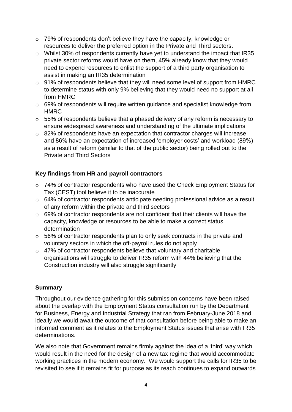- o 79% of respondents don't believe they have the capacity, knowledge or resources to deliver the preferred option in the Private and Third sectors.
- o Whilst 30% of respondents currently have yet to understand the impact that IR35 private sector reforms would have on them, 45% already know that they would need to expend resources to enlist the support of a third party organisation to assist in making an IR35 determination
- o 91% of respondents believe that they will need some level of support from HMRC to determine status with only 9% believing that they would need no support at all from HMRC
- o 69% of respondents will require written guidance and specialist knowledge from HMRC
- o 55% of respondents believe that a phased delivery of any reform is necessary to ensure widespread awareness and understanding of the ultimate implications
- o 82% of respondents have an expectation that contractor charges will increase and 86% have an expectation of increased 'employer costs' and workload (89%) as a result of reform (similar to that of the public sector) being rolled out to the Private and Third Sectors

# **Key findings from HR and payroll contractors**

- o 74% of contractor respondents who have used the Check Employment Status for Tax (CEST) tool believe it to be inaccurate
- o 64% of contractor respondents anticipate needing professional advice as a result of any reform within the private and third sectors
- o 69% of contractor respondents are not confident that their clients will have the capacity, knowledge or resources to be able to make a correct status determination
- o 56% of contractor respondents plan to only seek contracts in the private and voluntary sectors in which the off-payroll rules do not apply
- o 47% of contractor respondents believe that voluntary and charitable organisations will struggle to deliver IR35 reform with 44% believing that the Construction industry will also struggle significantly

# **Summary**

Throughout our evidence gathering for this submission concerns have been raised about the overlap with the Employment Status consultation run by the Department for Business, Energy and Industrial Strategy that ran from February-June 2018 and ideally we would await the outcome of that consultation before being able to make an informed comment as it relates to the Employment Status issues that arise with IR35 determinations.

We also note that Government remains firmly against the idea of a 'third' way which would result in the need for the design of a new tax regime that would accommodate working practices in the modern economy. We would support the calls for IR35 to be revisited to see if it remains fit for purpose as its reach continues to expand outwards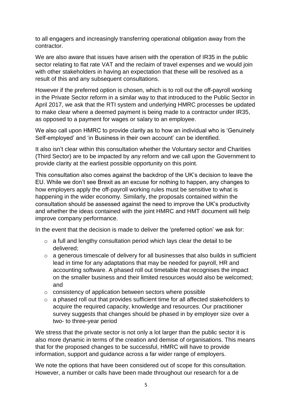to all engagers and increasingly transferring operational obligation away from the contractor.

We are also aware that issues have arisen with the operation of IR35 in the public sector relating to flat rate VAT and the reclaim of travel expenses and we would join with other stakeholders in having an expectation that these will be resolved as a result of this and any subsequent consultations.

However if the preferred option is chosen, which is to roll out the off-payroll working in the Private Sector reform in a similar way to that introduced to the Public Sector in April 2017, we ask that the RTI system and underlying HMRC processes be updated to make clear where a deemed payment is being made to a contractor under IR35, as opposed to a payment for wages or salary to an employee.

We also call upon HMRC to provide clarity as to how an individual who is 'Genuinely Self-employed' and 'in Business in their own account' can be identified.

It also isn't clear within this consultation whether the Voluntary sector and Charities (Third Sector) are to be impacted by any reform and we call upon the Government to provide clarity at the earliest possible opportunity on this point.

This consultation also comes against the backdrop of the UK's decision to leave the EU. While we don't see Brexit as an excuse for nothing to happen, any changes to how employers apply the off-payroll working rules must be sensitive to what is happening in the wider economy. Similarly, the proposals contained within the consultation should be assessed against the need to improve the UK's productivity and whether the ideas contained with the joint HMRC and HMT document will help improve company performance.

In the event that the decision is made to deliver the 'preferred option' we ask for:

- $\circ$  a full and lengthy consultation period which lays clear the detail to be delivered;
- $\circ$  a generous timescale of delivery for all businesses that also builds in sufficient lead in time for any adaptations that may be needed for payroll, HR and accounting software. A phased roll out timetable that recognises the impact on the smaller business and their limited resources would also be welcomed; and
- o consistency of application between sectors where possible
- o a phased roll out that provides sufficient time for all affected stakeholders to acquire the required capacity, knowledge and resources. Our practitioner survey suggests that changes should be phased in by employer size over a two- to three-year period

We stress that the private sector is not only a lot larger than the public sector it is also more dynamic in terms of the creation and demise of organisations. This means that for the proposed changes to be successful, HMRC will have to provide information, support and guidance across a far wider range of employers.

We note the options that have been considered out of scope for this consultation. However, a number or calls have been made throughout our research for a de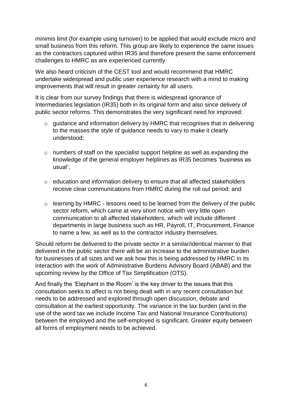minimis limit (for example using turnover) to be applied that would exclude micro and small business from this reform. This group are likely to experience the same issues as the contractors captured within IR35 and therefore present the same enforcement challenges to HMRC as are experienced currently.

We also heard criticism of the CEST tool and would recommend that HMRC undertake widespread and public user experience research with a mind to making improvements that will result in greater certainty for all users.

It is clear from our survey findings that there is widespread ignorance of Intermediaries legislation (IR35) both in its original form and also since delivery of public sector reforms. This demonstrates the very significant need for improved:

- o guidance and information delivery by HMRC that recognises that in delivering to the masses the style of guidance needs to vary to make it clearly understood;
- o numbers of staff on the specialist support helpline as well as expanding the knowledge of the general employer helplines as IR35 becomes 'business as usual';
- o education and information delivery to ensure that all affected stakeholders receive clear communications from HMRC during the roll out period; and
- o learning by HMRC lessons need to be learned from the delivery of the public sector reform, which came at very short notice with very little open communication to all affected stakeholders, which will include different departments in large business such as HR, Payroll, IT, Procurement, Finance to name a few, as well as to the contractor industry themselves.

Should reform be delivered to the private sector in a similar/identical manner to that delivered in the public sector there will be an increase to the administrative burden for businesses of all sizes and we ask how this is being addressed by HMRC in its interaction with the work of Administrative Burdens Advisory Board (ABAB) and the upcoming review by the Office of Tax Simplification (OTS).

And finally the 'Elephant in the Room' is the key driver to the issues that this consultation seeks to affect is not being dealt with in any recent consultation but needs to be addressed and explored through open discussion, debate and consultation at the earliest opportunity. The variance in the tax burden (and in the use of the word tax we include Income Tax and National Insurance Contributions) between the employed and the self-employed is significant. Greater equity between all forms of employment needs to be achieved.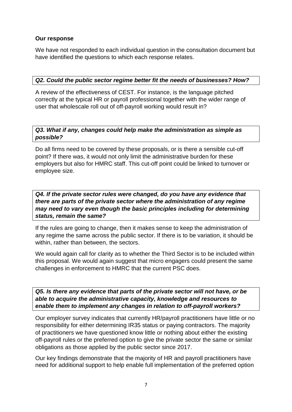## **Our response**

We have not responded to each individual question in the consultation document but have identified the questions to which each response relates.

#### *Q2. Could the public sector regime better fit the needs of businesses? How?*

A review of the effectiveness of CEST. For instance, is the language pitched correctly at the typical HR or payroll professional together with the wider range of user that wholescale roll out of off-payroll working would result in?

## *Q3. What if any, changes could help make the administration as simple as possible?*

Do all firms need to be covered by these proposals, or is there a sensible cut-off point? If there was, it would not only limit the administrative burden for these employers but also for HMRC staff. This cut-off point could be linked to turnover or employee size.

*Q4. If the private sector rules were changed, do you have any evidence that there are parts of the private sector where the administration of any regime may need to vary even though the basic principles including for determining status, remain the same?*

If the rules are going to change, then it makes sense to keep the administration of any regime the same across the public sector. If there is to be variation, it should be within, rather than between, the sectors.

We would again call for clarity as to whether the Third Sector is to be included within this proposal. We would again suggest that micro engagers could present the same challenges in enforcement to HMRC that the current PSC does.

*Q5. Is there any evidence that parts of the private sector will not have, or be able to acquire the administrative capacity, knowledge and resources to enable them to implement any changes in relation to off-payroll workers?*

Our employer survey indicates that currently HR/payroll practitioners have little or no responsibility for either determining IR35 status or paying contractors. The majority of practitioners we have questioned know little or nothing about either the existing off-payroll rules or the preferred option to give the private sector the same or similar obligations as those applied by the public sector since 2017.

Our key findings demonstrate that the majority of HR and payroll practitioners have need for additional support to help enable full implementation of the preferred option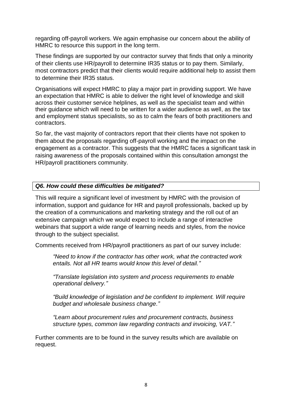regarding off-payroll workers. We again emphasise our concern about the ability of HMRC to resource this support in the long term.

These findings are supported by our contractor survey that finds that only a minority of their clients use HR/payroll to determine IR35 status or to pay them. Similarly, most contractors predict that their clients would require additional help to assist them to determine their IR35 status.

Organisations will expect HMRC to play a major part in providing support. We have an expectation that HMRC is able to deliver the right level of knowledge and skill across their customer service helplines, as well as the specialist team and within their guidance which will need to be written for a wider audience as well, as the tax and employment status specialists, so as to calm the fears of both practitioners and contractors.

So far, the vast majority of contractors report that their clients have not spoken to them about the proposals regarding off-payroll working and the impact on the engagement as a contractor. This suggests that the HMRC faces a significant task in raising awareness of the proposals contained within this consultation amongst the HR/payroll practitioners community.

# *Q6. How could these difficulties be mitigated?*

This will require a significant level of investment by HMRC with the provision of information, support and guidance for HR and payroll professionals, backed up by the creation of a communications and marketing strategy and the roll out of an extensive campaign which we would expect to include a range of interactive webinars that support a wide range of learning needs and styles, from the novice through to the subject specialist.

Comments received from HR/payroll practitioners as part of our survey include:

*"Need to know if the contractor has other work, what the contracted work entails. Not all HR teams would know this level of detail."*

*"Translate legislation into system and process requirements to enable operational delivery."*

*"Build knowledge of legislation and be confident to implement. Will require budget and wholesale business change."*

*"Learn about procurement rules and procurement contracts, business structure types, common law regarding contracts and invoicing, VAT."*

Further comments are to be found in the survey results which are available on request.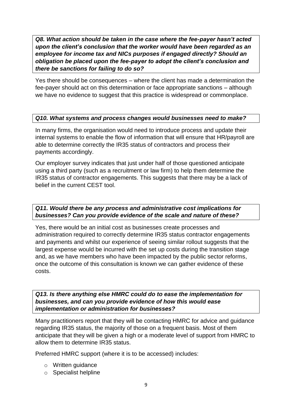*Q8. What action should be taken in the case where the fee-payer hasn't acted upon the client's conclusion that the worker would have been regarded as an employee for income tax and NICs purposes if engaged directly? Should an obligation be placed upon the fee-payer to adopt the client's conclusion and there be sanctions for failing to do so?*

Yes there should be consequences – where the client has made a determination the fee-payer should act on this determination or face appropriate sanctions – although we have no evidence to suggest that this practice is widespread or commonplace.

# *Q10. What systems and process changes would businesses need to make?*

In many firms, the organisation would need to introduce process and update their internal systems to enable the flow of information that will ensure that HR/payroll are able to determine correctly the IR35 status of contractors and process their payments accordingly.

Our employer survey indicates that just under half of those questioned anticipate using a third party (such as a recruitment or law firm) to help them determine the IR35 status of contractor engagements. This suggests that there may be a lack of belief in the current CEST tool.

*Q11. Would there be any process and administrative cost implications for businesses? Can you provide evidence of the scale and nature of these?*

Yes, there would be an initial cost as businesses create processes and administration required to correctly determine IR35 status contractor engagements and payments and whilst our experience of seeing similar rollout suggests that the largest expense would be incurred with the set up costs during the transition stage and, as we have members who have been impacted by the public sector reforms, once the outcome of this consultation is known we can gather evidence of these costs.

*Q13. Is there anything else HMRC could do to ease the implementation for businesses, and can you provide evidence of how this would ease implementation or administration for businesses?*

Many practitioners report that they will be contacting HMRC for advice and guidance regarding IR35 status, the majority of those on a frequent basis. Most of them anticipate that they will be given a high or a moderate level of support from HMRC to allow them to determine IR35 status.

Preferred HMRC support (where it is to be accessed) includes:

- o Written guidance
- o Specialist helpline